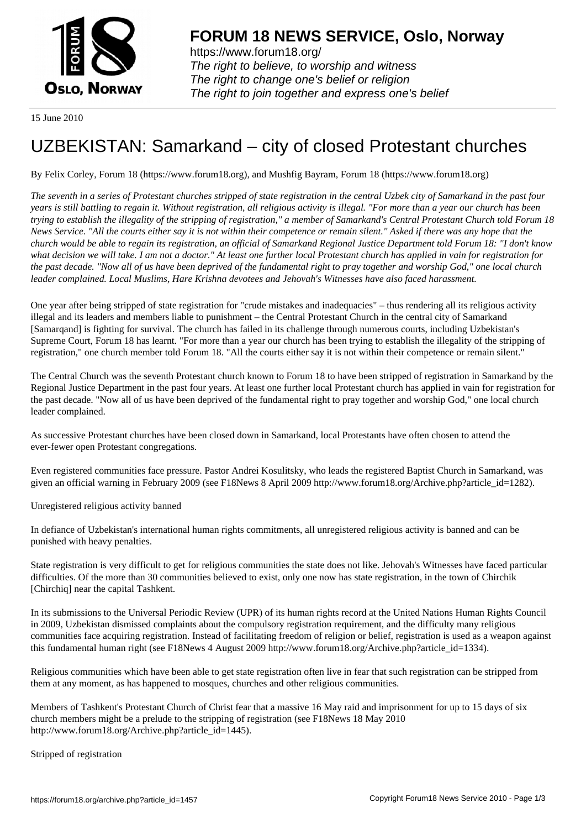

https://www.forum18.org/ The right to believe, to worship and witness The right to change one's belief or religion [The right to join together a](https://www.forum18.org/)nd express one's belief

15 June 2010

## [UZBEKISTAN:](https://www.forum18.org) Samarkand – city of closed Protestant churches

By Felix Corley, Forum 18 (https://www.forum18.org), and Mushfig Bayram, Forum 18 (https://www.forum18.org)

*The seventh in a series of Protestant churches stripped of state registration in the central Uzbek city of Samarkand in the past four years is still battling to regain it. Without registration, all religious activity is illegal. "For more than a year our church has been trying to establish the illegality of the stripping of registration," a member of Samarkand's Central Protestant Church told Forum 18 News Service. "All the courts either say it is not within their competence or remain silent." Asked if there was any hope that the church would be able to regain its registration, an official of Samarkand Regional Justice Department told Forum 18: "I don't know what decision we will take. I am not a doctor." At least one further local Protestant church has applied in vain for registration for the past decade. "Now all of us have been deprived of the fundamental right to pray together and worship God," one local church leader complained. Local Muslims, Hare Krishna devotees and Jehovah's Witnesses have also faced harassment.*

One year after being stripped of state registration for "crude mistakes and inadequacies" – thus rendering all its religious activity illegal and its leaders and members liable to punishment – the Central Protestant Church in the central city of Samarkand [Samarqand] is fighting for survival. The church has failed in its challenge through numerous courts, including Uzbekistan's Supreme Court, Forum 18 has learnt. "For more than a year our church has been trying to establish the illegality of the stripping of registration," one church member told Forum 18. "All the courts either say it is not within their competence or remain silent."

The Central Church was the seventh Protestant church known to Forum 18 to have been stripped of registration in Samarkand by the Regional Justice Department in the past four years. At least one further local Protestant church has applied in vain for registration for the past decade. "Now all of us have been deprived of the fundamental right to pray together and worship God," one local church leader complained.

As successive Protestant churches have been closed down in Samarkand, local Protestants have often chosen to attend the ever-fewer open Protestant congregations.

Even registered communities face pressure. Pastor Andrei Kosulitsky, who leads the registered Baptist Church in Samarkand, was given an official warning in February 2009 (see F18News 8 April 2009 http://www.forum18.org/Archive.php?article\_id=1282).

Unregistered religious activity banned

In defiance of Uzbekistan's international human rights commitments, all unregistered religious activity is banned and can be punished with heavy penalties.

State registration is very difficult to get for religious communities the state does not like. Jehovah's Witnesses have faced particular difficulties. Of the more than 30 communities believed to exist, only one now has state registration, in the town of Chirchik [Chirchiq] near the capital Tashkent.

In its submissions to the Universal Periodic Review (UPR) of its human rights record at the United Nations Human Rights Council in 2009, Uzbekistan dismissed complaints about the compulsory registration requirement, and the difficulty many religious communities face acquiring registration. Instead of facilitating freedom of religion or belief, registration is used as a weapon against this fundamental human right (see F18News 4 August 2009 http://www.forum18.org/Archive.php?article\_id=1334).

Religious communities which have been able to get state registration often live in fear that such registration can be stripped from them at any moment, as has happened to mosques, churches and other religious communities.

Members of Tashkent's Protestant Church of Christ fear that a massive 16 May raid and imprisonment for up to 15 days of six church members might be a prelude to the stripping of registration (see F18News 18 May 2010 http://www.forum18.org/Archive.php?article\_id=1445).

Stripped of registration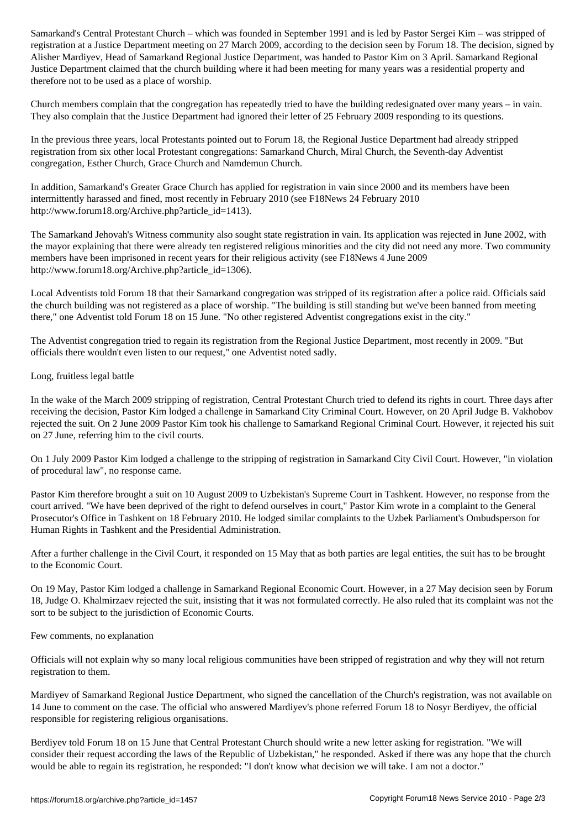registration at a Justice Department meeting on 27 March 2009, according to the decision seen by Forum 18. The decision, signed by Alisher Mardiyev, Head of Samarkand Regional Justice Department, was handed to Pastor Kim on 3 April. Samarkand Regional Justice Department claimed that the church building where it had been meeting for many years was a residential property and therefore not to be used as a place of worship.

Church members complain that the congregation has repeatedly tried to have the building redesignated over many years – in vain. They also complain that the Justice Department had ignored their letter of 25 February 2009 responding to its questions.

In the previous three years, local Protestants pointed out to Forum 18, the Regional Justice Department had already stripped registration from six other local Protestant congregations: Samarkand Church, Miral Church, the Seventh-day Adventist congregation, Esther Church, Grace Church and Namdemun Church.

In addition, Samarkand's Greater Grace Church has applied for registration in vain since 2000 and its members have been intermittently harassed and fined, most recently in February 2010 (see F18News 24 February 2010 http://www.forum18.org/Archive.php?article\_id=1413).

The Samarkand Jehovah's Witness community also sought state registration in vain. Its application was rejected in June 2002, with the mayor explaining that there were already ten registered religious minorities and the city did not need any more. Two community members have been imprisoned in recent years for their religious activity (see F18News 4 June 2009 http://www.forum18.org/Archive.php?article\_id=1306).

Local Adventists told Forum 18 that their Samarkand congregation was stripped of its registration after a police raid. Officials said the church building was not registered as a place of worship. "The building is still standing but we've been banned from meeting there," one Adventist told Forum 18 on 15 June. "No other registered Adventist congregations exist in the city."

The Adventist congregation tried to regain its registration from the Regional Justice Department, most recently in 2009. "But officials there wouldn't even listen to our request," one Adventist noted sadly.

Long, fruitless legal battle

In the wake of the March 2009 stripping of registration, Central Protestant Church tried to defend its rights in court. Three days after receiving the decision, Pastor Kim lodged a challenge in Samarkand City Criminal Court. However, on 20 April Judge B. Vakhobov rejected the suit. On 2 June 2009 Pastor Kim took his challenge to Samarkand Regional Criminal Court. However, it rejected his suit on 27 June, referring him to the civil courts.

On 1 July 2009 Pastor Kim lodged a challenge to the stripping of registration in Samarkand City Civil Court. However, "in violation of procedural law", no response came.

Pastor Kim therefore brought a suit on 10 August 2009 to Uzbekistan's Supreme Court in Tashkent. However, no response from the court arrived. "We have been deprived of the right to defend ourselves in court," Pastor Kim wrote in a complaint to the General Prosecutor's Office in Tashkent on 18 February 2010. He lodged similar complaints to the Uzbek Parliament's Ombudsperson for Human Rights in Tashkent and the Presidential Administration.

After a further challenge in the Civil Court, it responded on 15 May that as both parties are legal entities, the suit has to be brought to the Economic Court.

On 19 May, Pastor Kim lodged a challenge in Samarkand Regional Economic Court. However, in a 27 May decision seen by Forum 18, Judge O. Khalmirzaev rejected the suit, insisting that it was not formulated correctly. He also ruled that its complaint was not the sort to be subject to the jurisdiction of Economic Courts.

Few comments, no explanation

Officials will not explain why so many local religious communities have been stripped of registration and why they will not return registration to them.

Mardiyev of Samarkand Regional Justice Department, who signed the cancellation of the Church's registration, was not available on 14 June to comment on the case. The official who answered Mardiyev's phone referred Forum 18 to Nosyr Berdiyev, the official responsible for registering religious organisations.

Berdiyev told Forum 18 on 15 June that Central Protestant Church should write a new letter asking for registration. "We will consider their request according the laws of the Republic of Uzbekistan," he responded. Asked if there was any hope that the church would be able to regain its registration, he responded: "I don't know what decision we will take. I am not a doctor."